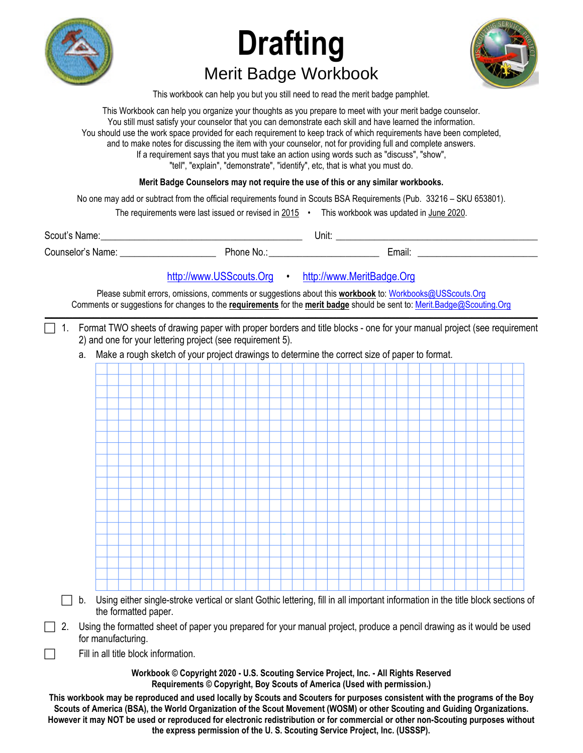

# **Drafting**  Merit Badge Workbook



This workbook can help you but you still need to read the merit badge pamphlet.

This Workbook can help you organize your thoughts as you prepare to meet with your merit badge counselor. You still must satisfy your counselor that you can demonstrate each skill and have learned the information. You should use the work space provided for each requirement to keep track of which requirements have been completed, and to make notes for discussing the item with your counselor, not for providing full and complete answers. If a requirement says that you must take an action using words such as "discuss", "show", "tell", "explain", "demonstrate", "identify", etc, that is what you must do.

### **Merit Badge Counselors may not require the use of this or any similar workbooks.**

No one may add or subtract from the official requirements found in Scouts BSA Requirements (Pub. 33216 – SKU 653801).

The requirements were last issued or revised in  $2015$  • This workbook was updated in June 2020.

| Scout's Name:        |         | Unit: |        |
|----------------------|---------|-------|--------|
| Counselor's<br>Name: | hone No |       | :mail: |

## http://www.USScouts.Org • http://www.MeritBadge.Org

Please submit errors, omissions, comments or suggestions about this **workbook** to: Workbooks@USScouts.Org Comments or suggestions for changes to the **requirements** for the **merit badge** should be sent to: Merit.Badge@Scouting.Org *\_\_\_\_\_\_\_\_\_\_\_\_\_\_\_\_\_\_\_\_\_\_\_\_\_\_\_\_\_\_\_\_\_\_\_\_\_\_\_\_\_\_\_\_\_\_\_\_\_\_\_\_\_\_\_\_\_\_\_\_\_\_\_\_\_\_\_\_\_\_\_\_\_\_\_\_\_\_\_\_\_\_\_\_\_\_\_\_\_\_\_\_\_\_\_\_\_\_\_\_\_\_\_\_\_\_\_\_\_\_\_\_\_\_\_\_\_\_\_\_\_\_\_\_\_\_\_\_\_\_\_\_\_\_\_\_\_\_\_\_\_\_* 

- 1. Format TWO sheets of drawing paper with proper borders and title blocks one for your manual project (see requirement 2) and one for your lettering project (see requirement 5).
	- a. Make a rough sketch of your project drawings to determine the correct size of paper to format.



- $\Box$  b. Using either single-stroke vertical or slant Gothic lettering, fill in all important information in the title block sections of the formatted paper.
- 2. Using the formatted sheet of paper you prepared for your manual project, produce a pencil drawing as it would be used for manufacturing.

Fill in all title block information.

**Workbook © Copyright 2020 - U.S. Scouting Service Project, Inc. - All Rights Reserved Requirements © Copyright, Boy Scouts of America (Used with permission.)** 

**This workbook may be reproduced and used locally by Scouts and Scouters for purposes consistent with the programs of the Boy Scouts of America (BSA), the World Organization of the Scout Movement (WOSM) or other Scouting and Guiding Organizations. However it may NOT be used or reproduced for electronic redistribution or for commercial or other non-Scouting purposes without the express permission of the U. S. Scouting Service Project, Inc. (USSSP).**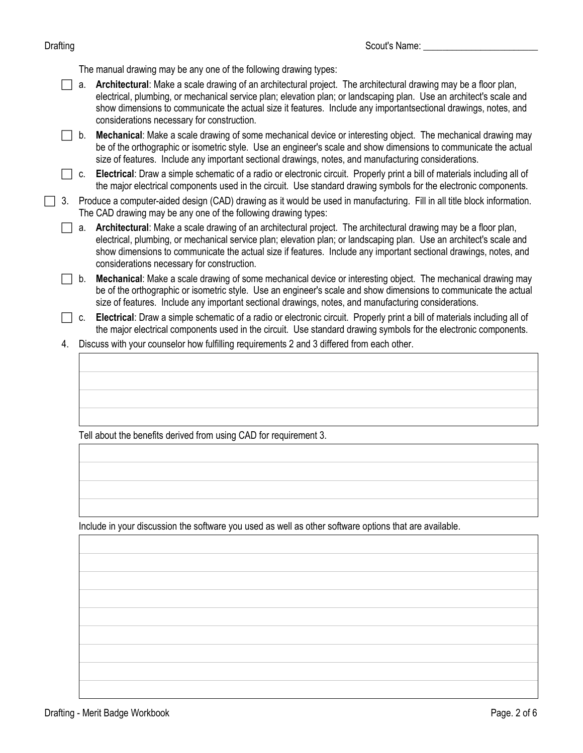The manual drawing may be any one of the following drawing types:

 a. **Architectural**: Make a scale drawing of an architectural project. The architectural drawing may be a floor plan, electrical, plumbing, or mechanical service plan; elevation plan; or landscaping plan. Use an architect's scale and show dimensions to communicate the actual size it features. Include any importantsectional drawings, notes, and considerations necessary for construction.

 b. **Mechanical**: Make a scale drawing of some mechanical device or interesting object. The mechanical drawing may be of the orthographic or isometric style. Use an engineer's scale and show dimensions to communicate the actual size of features. Include any important sectional drawings, notes, and manufacturing considerations.

 c. **Electrical**: Draw a simple schematic of a radio or electronic circuit. Properly print a bill of materials including all of the major electrical components used in the circuit. Use standard drawing symbols for the electronic components.

 3. Produce a computer-aided design (CAD) drawing as it would be used in manufacturing. Fill in all title block information. The CAD drawing may be any one of the following drawing types:

 a. **Architectural**: Make a scale drawing of an architectural project. The architectural drawing may be a floor plan, electrical, plumbing, or mechanical service plan; elevation plan; or landscaping plan. Use an architect's scale and show dimensions to communicate the actual size if features. Include any important sectional drawings, notes, and considerations necessary for construction.

 b. **Mechanical**: Make a scale drawing of some mechanical device or interesting object. The mechanical drawing may be of the orthographic or isometric style. Use an engineer's scale and show dimensions to communicate the actual size of features. Include any important sectional drawings, notes, and manufacturing considerations.

- c. **Electrical**: Draw a simple schematic of a radio or electronic circuit. Properly print a bill of materials including all of the major electrical components used in the circuit. Use standard drawing symbols for the electronic components.
- 4. Discuss with your counselor how fulfilling requirements 2 and 3 differed from each other.

Tell about the benefits derived from using CAD for requirement 3.

Include in your discussion the software you used as well as other software options that are available.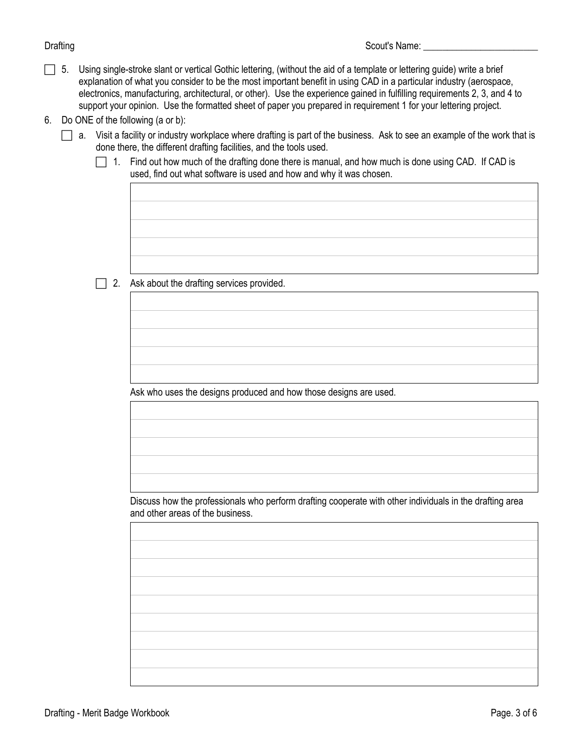- $\Box$  5. Using single-stroke slant or vertical Gothic lettering, (without the aid of a template or lettering guide) write a brief explanation of what you consider to be the most important benefit in using CAD in a particular industry (aerospace, electronics, manufacturing, architectural, or other). Use the experience gained in fulfilling requirements 2, 3, and 4 to support your opinion. Use the formatted sheet of paper you prepared in requirement 1 for your lettering project.
- 6. Do ONE of the following (a or b):
	- a. Visit a facility or industry workplace where drafting is part of the business. Ask to see an example of the work that is done there, the different drafting facilities, and the tools used.
		- $\Box$  1. Find out how much of the drafting done there is manual, and how much is done using CAD. If CAD is used, find out what software is used and how and why it was chosen.

 $\Box$  2. Ask about the drafting services provided.

Ask who uses the designs produced and how those designs are used.

Discuss how the professionals who perform drafting cooperate with other individuals in the drafting area and other areas of the business.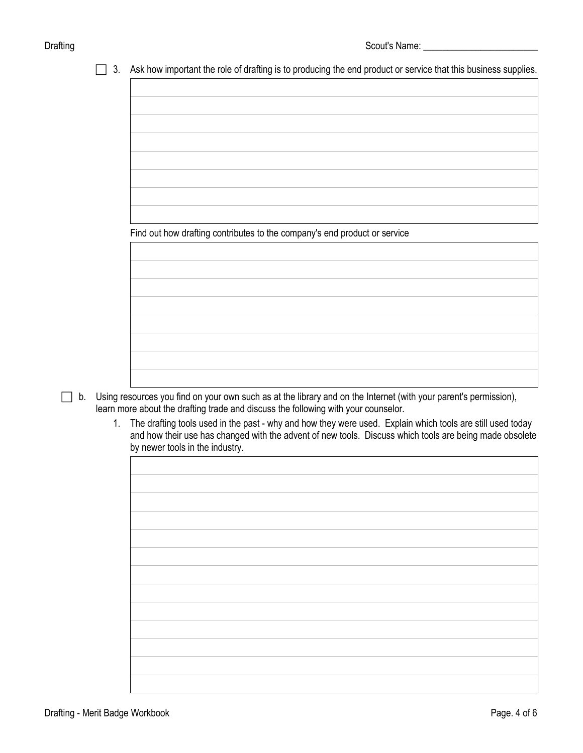$\Box$  3. Ask how important the role of drafting is to producing the end product or service that this business supplies.

| Find out how drafting contributes to the company's end product or service |  |  |
|---------------------------------------------------------------------------|--|--|
|                                                                           |  |  |

- b. Using resources you find on your own such as at the library and on the Internet (with your parent's permission), learn more about the drafting trade and discuss the following with your counselor.
	- 1. The drafting tools used in the past why and how they were used. Explain which tools are still used today and how their use has changed with the advent of new tools. Discuss which tools are being made obsolete by newer tools in the industry.

| ◞ | ◞ |  |
|---|---|--|
|   |   |  |
|   |   |  |
|   |   |  |
|   |   |  |
|   |   |  |
|   |   |  |
|   |   |  |
|   |   |  |
|   |   |  |
|   |   |  |
|   |   |  |
|   |   |  |
|   |   |  |
|   |   |  |
|   |   |  |
|   |   |  |
|   |   |  |
|   |   |  |
|   |   |  |
|   |   |  |
|   |   |  |
|   |   |  |
|   |   |  |
|   |   |  |
|   |   |  |
|   |   |  |
|   |   |  |
|   |   |  |
|   |   |  |
|   |   |  |
|   |   |  |
|   |   |  |
|   |   |  |
|   |   |  |
|   |   |  |
|   |   |  |
|   |   |  |
|   |   |  |
|   |   |  |
|   |   |  |
|   |   |  |
|   |   |  |
|   |   |  |
|   |   |  |
|   |   |  |
|   |   |  |
|   |   |  |
|   |   |  |
|   |   |  |
|   |   |  |
|   |   |  |
|   |   |  |
|   |   |  |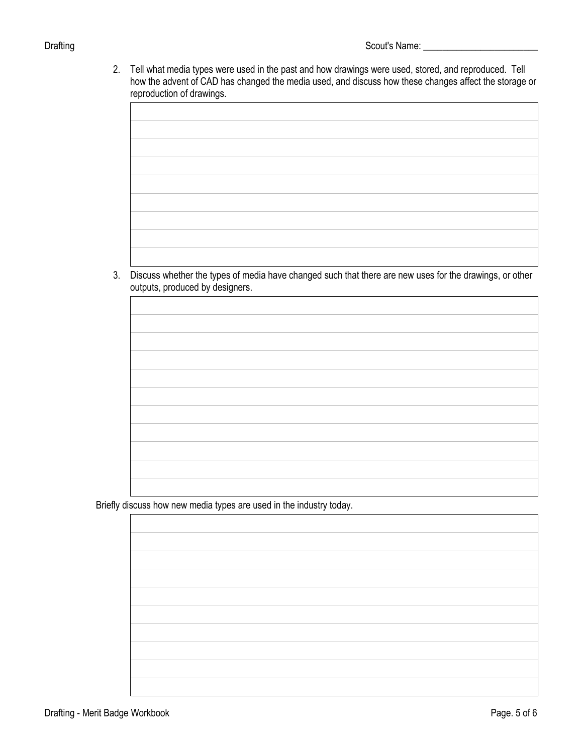2. Tell what media types were used in the past and how drawings were used, stored, and reproduced. Tell how the advent of CAD has changed the media used, and discuss how these changes affect the storage or reproduction of drawings.

3. Discuss whether the types of media have changed such that there are new uses for the drawings, or other outputs, produced by designers.

Briefly discuss how new media types are used in the industry today.